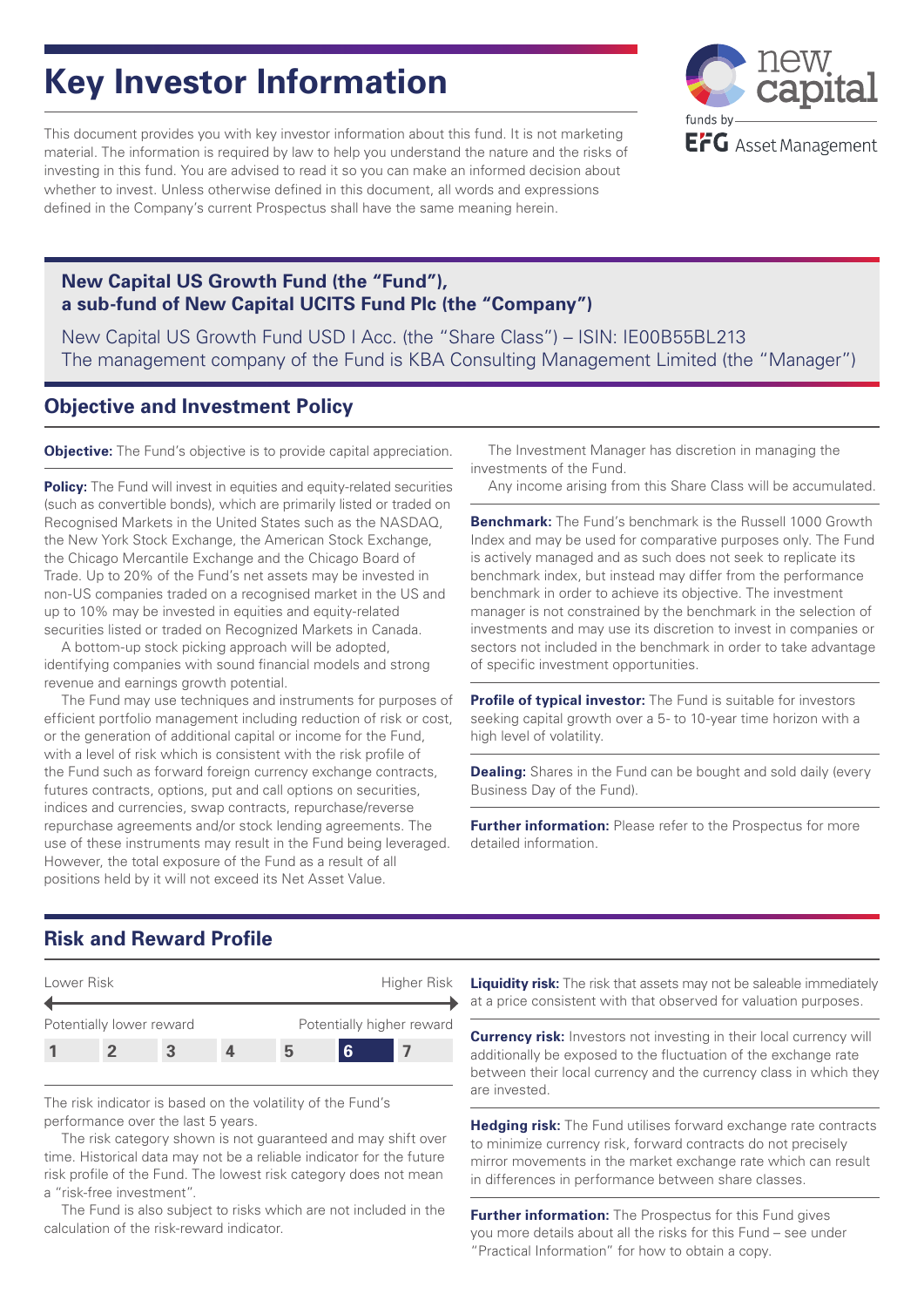# **Key Investor Information**

This document provides you with key investor information about this fund. It is not marketing material. The information is required by law to help you understand the nature and the risks of investing in this fund. You are advised to read it so you can make an informed decision about whether to invest. Unless otherwise defined in this document, all words and expressions defined in the Company's current Prospectus shall have the same meaning herein.



### **New Capital US Growth Fund (the "Fund"), a sub-fund of New Capital UCITS Fund Plc (the "Company")**

New Capital US Growth Fund USD I Acc. (the "Share Class") – ISIN: IE00B55BL213 The management company of the Fund is KBA Consulting Management Limited (the "Manager")

# **Objective and Investment Policy**

**Objective:** The Fund's objective is to provide capital appreciation.

**Policy:** The Fund will invest in equities and equity-related securities (such as convertible bonds), which are primarily listed or traded on Recognised Markets in the United States such as the NASDAQ, the New York Stock Exchange, the American Stock Exchange, the Chicago Mercantile Exchange and the Chicago Board of Trade. Up to 20% of the Fund's net assets may be invested in non-US companies traded on a recognised market in the US and up to 10% may be invested in equities and equity-related securities listed or traded on Recognized Markets in Canada.

A bottom-up stock picking approach will be adopted, identifying companies with sound financial models and strong revenue and earnings growth potential.

The Fund may use techniques and instruments for purposes of efficient portfolio management including reduction of risk or cost, or the generation of additional capital or income for the Fund, with a level of risk which is consistent with the risk profile of the Fund such as forward foreign currency exchange contracts, futures contracts, options, put and call options on securities, indices and currencies, swap contracts, repurchase/reverse repurchase agreements and/or stock lending agreements. The use of these instruments may result in the Fund being leveraged. However, the total exposure of the Fund as a result of all positions held by it will not exceed its Net Asset Value.

The Investment Manager has discretion in managing the investments of the Fund.

Any income arising from this Share Class will be accumulated.

**Benchmark:** The Fund's benchmark is the Russell 1000 Growth Index and may be used for comparative purposes only. The Fund is actively managed and as such does not seek to replicate its benchmark index, but instead may differ from the performance benchmark in order to achieve its objective. The investment manager is not constrained by the benchmark in the selection of investments and may use its discretion to invest in companies or sectors not included in the benchmark in order to take advantage of specific investment opportunities.

**Profile of typical investor:** The Fund is suitable for investors seeking capital growth over a 5- to 10-year time horizon with a high level of volatility.

**Dealing:** Shares in the Fund can be bought and sold daily (every Business Day of the Fund).

**Further information:** Please refer to the Prospectus for more detailed information.

# **Risk and Reward Profile**



The risk indicator is based on the volatility of the Fund's performance over the last 5 years.

The risk category shown is not guaranteed and may shift over time. Historical data may not be a reliable indicator for the future risk profile of the Fund. The lowest risk category does not mean a "risk-free investment".

The Fund is also subject to risks which are not included in the calculation of the risk-reward indicator.

**Liquidity risk:** The risk that assets may not be saleable immediately at a price consistent with that observed for valuation purposes.

**Currency risk:** Investors not investing in their local currency will additionally be exposed to the fluctuation of the exchange rate between their local currency and the currency class in which they are invested.

**Hedging risk:** The Fund utilises forward exchange rate contracts to minimize currency risk, forward contracts do not precisely mirror movements in the market exchange rate which can result in differences in performance between share classes.

**Further information:** The Prospectus for this Fund gives you more details about all the risks for this Fund – see under "Practical Information" for how to obtain a copy.